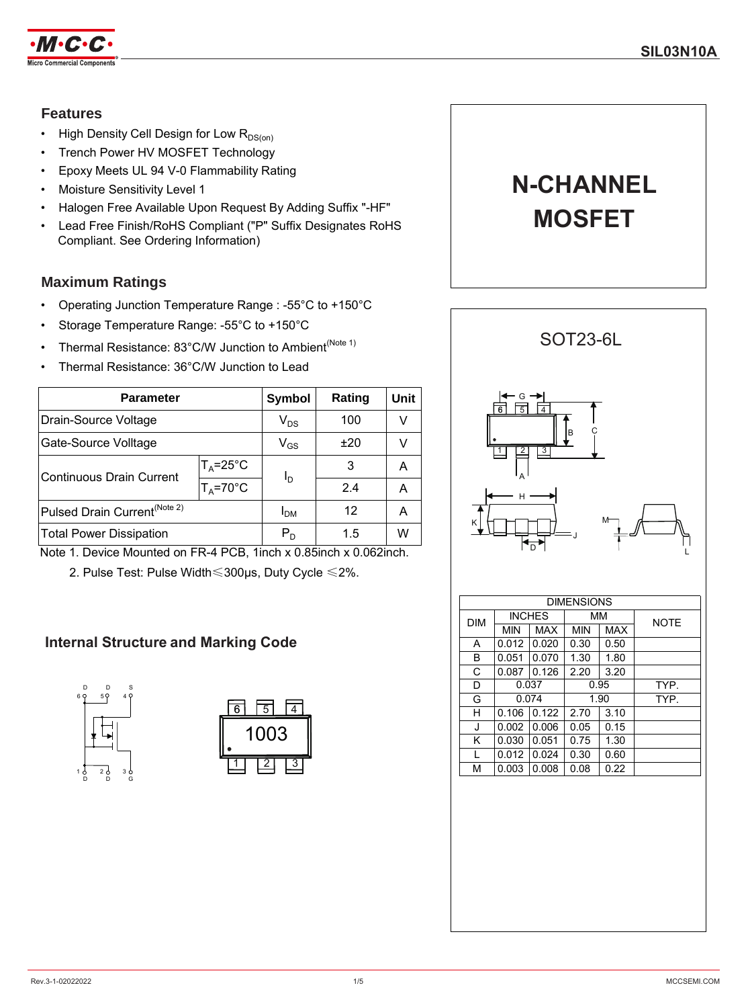

### **Features**

- High Density Cell Design for Low  $R_{DS(on)}$
- Trench Power HV MOSFET Technology
- Epoxy Meets UL 94 V-0 Flammability Rating
- Moisture Sensitivity Level 1
- Halogen Free Available Upon Request By Adding Suffix "-HF"
- Lead Free Finish/RoHS Compliant ("P" Suffix Designates RoHS Compliant. See Ordering Information)

## **Maximum Ratings**

- Operating Junction Temperature Range : -55°C to +150°C
- Storage Temperature Range: -55°C to +150°C
- Thermal Resistance: 83°C/W Junction to Ambient<sup>(Note 1)</sup>
- Thermal Resistance: 36°C/W Junction to Lead

| <b>Parameter</b>     |                            |                          | Unit   |
|----------------------|----------------------------|--------------------------|--------|
|                      | $\mathsf{V}_{\mathsf{DS}}$ | 100                      |        |
|                      | $\mathsf{V}_{\mathsf{GS}}$ | ±20                      | v      |
| $T_A = 25^{\circ}C$  |                            | 3                        | А      |
| $T_A = 70^{\circ}$ C |                            | 2.4                      | A      |
|                      | I <sub>DM</sub>            | 12                       | А      |
|                      | $P_D$                      | 1.5                      | w      |
|                      |                            | Symbol<br>I <sub>D</sub> | Rating |

Note 1. Device Mounted on FR-4 PCB, 1inch x 0.85inch x 0.062inch.

2. Pulse Test: Pulse Width≤300µs, Duty Cycle ≤2%.

## **Internal Structure and Marking Code**









| <b>DIMENSIONS</b> |               |       |            |      |             |
|-------------------|---------------|-------|------------|------|-------------|
| <b>DIM</b>        | <b>INCHES</b> |       | MМ         |      | <b>NOTE</b> |
|                   | MIN           | MAX   | <b>MIN</b> | MAX  |             |
| A                 | 0.012         | 0.020 | 0.30       | 0.50 |             |
| B                 | 0.051         | 0.070 | 1.30       | 1.80 |             |
| C                 | 0.087         | 0.126 | 2.20       | 3.20 |             |
| D                 | 0.037         |       | 0.95       |      | TYP.        |
| G                 | 0.074         |       | 1.90       |      | TYP.        |
| н                 | 0.106         | 0.122 | 2.70       | 3.10 |             |
| J                 | 0.002         | 0.006 | 0.05       | 0.15 |             |
| Κ                 | 0.030         | 0.051 | 0.75       | 1.30 |             |
| L                 | 0.012         | 0.024 | 0.30       | 0.60 |             |
| М                 | 0.003         | 0.008 | 0.08       | 0.22 |             |
|                   |               |       |            |      |             |
|                   |               |       |            |      |             |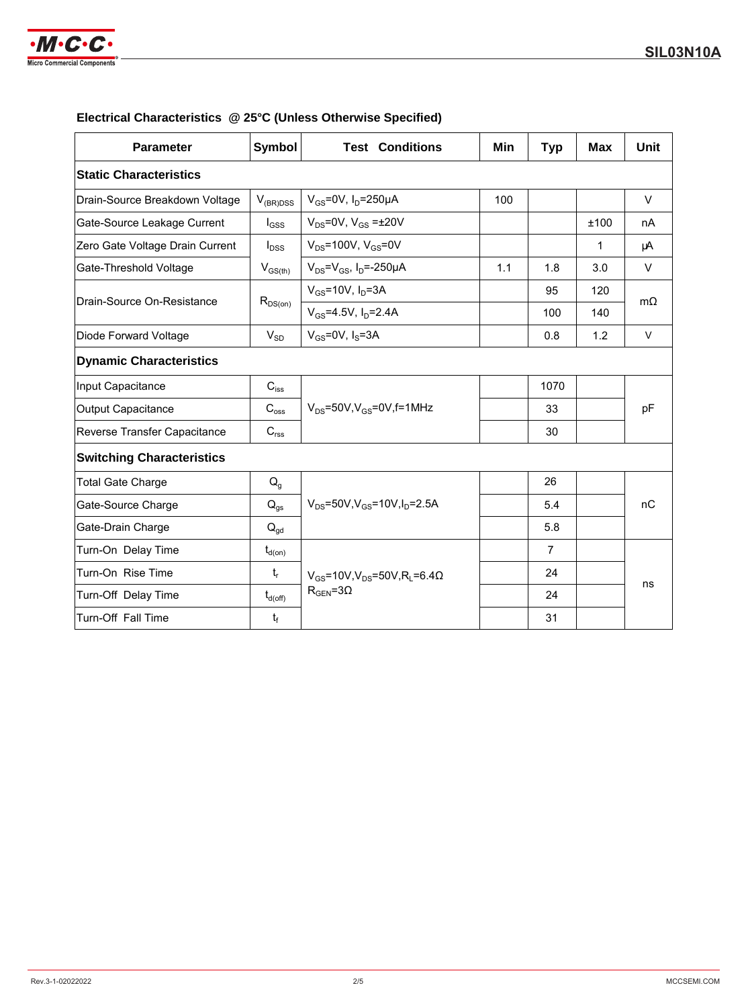

| <b>Parameter</b>                 | <b>Symbol</b>              | <b>Test Conditions</b>                                          | Min | <b>Typ</b>     | <b>Max</b> | Unit      |
|----------------------------------|----------------------------|-----------------------------------------------------------------|-----|----------------|------------|-----------|
| <b>Static Characteristics</b>    |                            |                                                                 |     |                |            |           |
| Drain-Source Breakdown Voltage   | $V_{(BR)DSS}$              | $V_{GS}$ =0V, $I_D$ =250µA                                      | 100 |                |            | $\vee$    |
| Gate-Source Leakage Current      | $I_{GSS}$                  | $V_{DS}$ =0V, $V_{GS}$ = $\pm$ 20V                              |     |                | ±100       | nA        |
| Zero Gate Voltage Drain Current  | $I_{\text{DSS}}$           | $V_{DS}$ =100V, $V_{GS}$ =0V                                    |     |                | 1          | μA        |
| Gate-Threshold Voltage           | $V_{GS(th)}$               | $V_{DS} = V_{GS}$ , I <sub>D</sub> =-250µA                      | 1.1 | 1.8            | 3.0        | $\vee$    |
| Drain-Source On-Resistance       |                            | $V_{GS}$ =10V, $I_D$ =3A                                        |     | 95             | 120        | $m\Omega$ |
|                                  | $R_{DS(on)}$               | $V_{GS} = 4.5V$ , $I_D = 2.4A$                                  |     | 100            | 140        |           |
| Diode Forward Voltage            | $V_{SD}$                   | $V_{GS}$ =0V, $I_S$ =3A                                         |     | 0.8            | 1.2        | $\vee$    |
| <b>Dynamic Characteristics</b>   |                            |                                                                 |     |                |            |           |
| Input Capacitance                | $C_{\text{iss}}$           |                                                                 |     | 1070           |            |           |
| Output Capacitance               | $C_{\rm oss}$              | $V_{DS}$ =50V, $V_{GS}$ =0V, f=1MHz                             |     | 33             |            | pF        |
| Reverse Transfer Capacitance     | $C_{\text{rss}}$           |                                                                 |     | 30             |            |           |
| <b>Switching Characteristics</b> |                            |                                                                 |     |                |            |           |
| <b>Total Gate Charge</b>         | $Q_q$                      |                                                                 |     | 26             |            |           |
| Gate-Source Charge               | $\mathsf{Q}_{\mathsf{gs}}$ | $V_{DS} = 50V$ , $V_{GS} = 10V$ , $I_D = 2.5A$                  |     | 5.4            |            | nC        |
| Gate-Drain Charge                | $Q_{gd}$                   |                                                                 |     | 5.8            |            |           |
| Turn-On Delay Time               | $t_{d(on)}$                |                                                                 |     | $\overline{7}$ |            |           |
| Turn-On Rise Time                | $t_{r}$                    | $V_{GS}$ =10V,V <sub>DS</sub> =50V,R <sub>L</sub> =6.4 $\Omega$ |     | 24             |            |           |
| Turn-Off Delay Time              | $t_{d(\text{off})}$        | $R_{\text{GEN}} = 3\Omega$                                      |     | 24             |            | ns        |
| Turn-Off Fall Time               | $t_f$                      |                                                                 |     | 31             |            |           |

## **Electrical Characteristics @ 25°C (Unless Otherwise Specified)**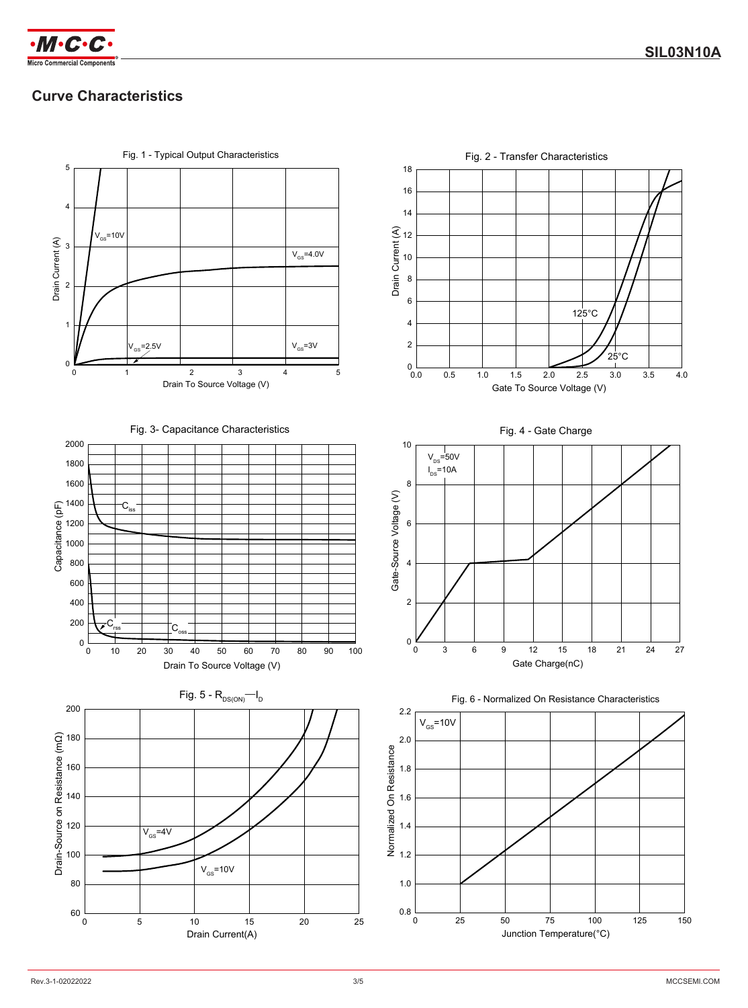

# **Curve Characteristics**

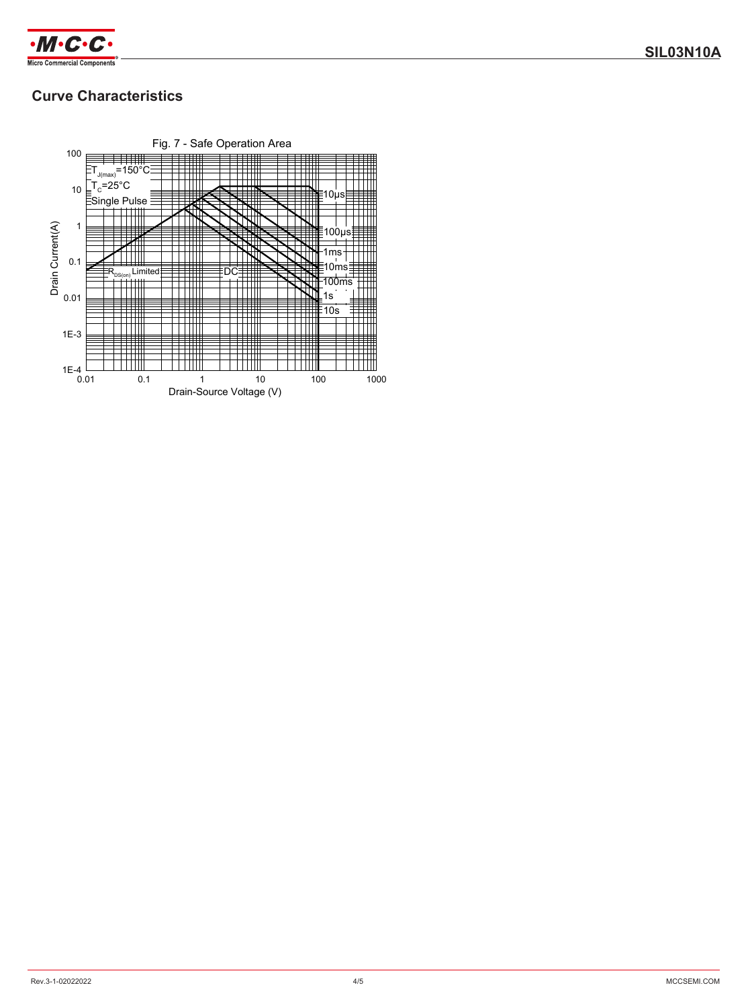

# **Curve Characteristics**